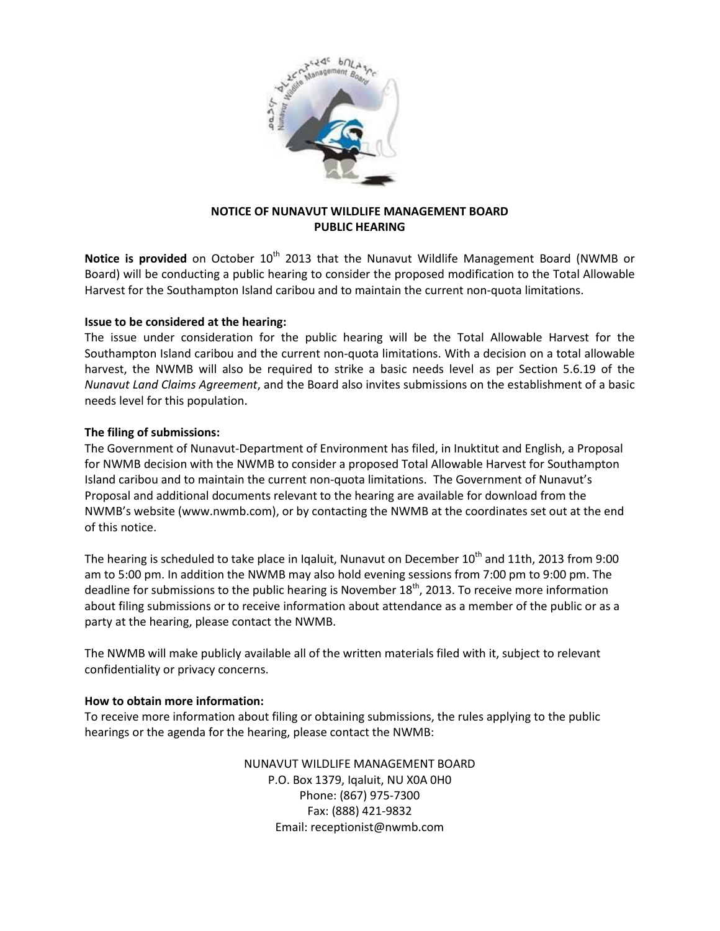

## **NOTICE OF NUNAVUT WILDLIFE MANAGEMENT BOARD PUBLIC HEARING**

Notice is provided on October 10<sup>th</sup> 2013 that the Nunavut Wildlife Management Board (NWMB or Board) will be conducting a public hearing to consider the proposed modification to the Total Allowable Harvest for the Southampton Island caribou and to maintain the current non-quota limitations.

## **Issue to be considered at the hearing:**

The issue under consideration for the public hearing will be the Total Allowable Harvest for the Southampton Island caribou and the current non-quota limitations. With a decision on a total allowable harvest, the NWMB will also be required to strike a basic needs level as per Section 5.6.19 of the *Nunavut Land Claims Agreement*, and the Board also invites submissions on the establishment of a basic needs level for this population.

## **The filing of submissions:**

The Government of Nunavut-Department of Environment has filed, in Inuktitut and English, a Proposal for NWMB decision with the NWMB to consider a proposed Total Allowable Harvest for Southampton Island caribou and to maintain the current non-quota limitations. The Government of Nunavut's Proposal and additional documents relevant to the hearing are available for download from the NWMB's website (www.nwmb.com), or by contacting the NWMB at the coordinates set out at the end of this notice.

The hearing is scheduled to take place in Iqaluit, Nunavut on December  $10<sup>th</sup>$  and 11th, 2013 from 9:00 am to 5:00 pm. In addition the NWMB may also hold evening sessions from 7:00 pm to 9:00 pm. The deadline for submissions to the public hearing is November  $18<sup>th</sup>$ , 2013. To receive more information about filing submissions or to receive information about attendance as a member of the public or as a party at the hearing, please contact the NWMB.

The NWMB will make publicly available all of the written materials filed with it, subject to relevant confidentiality or privacy concerns.

## **How to obtain more information:**

To receive more information about filing or obtaining submissions, the rules applying to the public hearings or the agenda for the hearing, please contact the NWMB:

> NUNAVUT WILDLIFE MANAGEMENT BOARD P.O. Box 1379, Iqaluit, NU X0A 0H0 Phone: (867) 975-7300 Fax: (888) 421-9832 Email: receptionist@nwmb.com